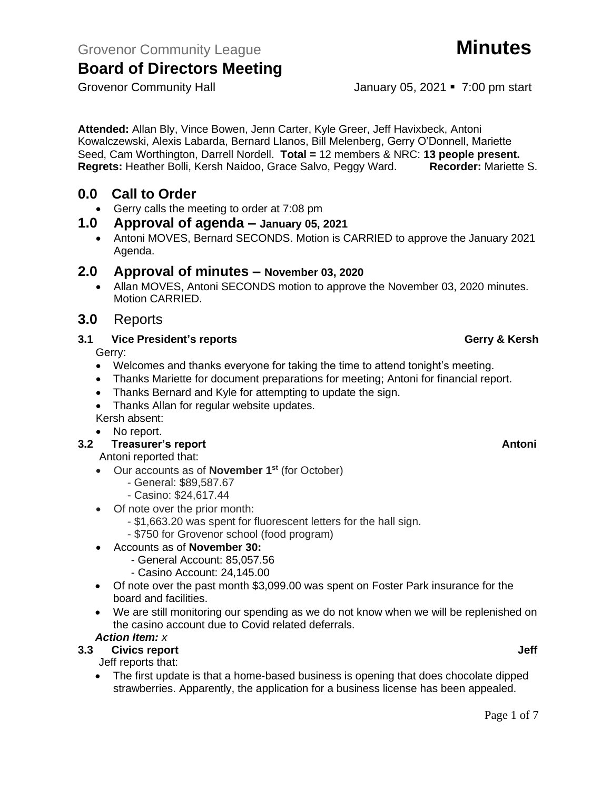**Attended:** Allan Bly, Vince Bowen, Jenn Carter, Kyle Greer, Jeff Havixbeck, Antoni Kowalczewski, Alexis Labarda, Bernard Llanos, Bill Melenberg, Gerry O'Donnell, Mariette Seed, Cam Worthington, Darrell Nordell. **Total =** 12 members & NRC: **13 people present. Regrets:** Heather Bolli, Kersh Naidoo, Grace Salvo, Peggy Ward. **Recorder:** Mariette S.

## **0.0 Call to Order**

• Gerry calls the meeting to order at 7:08 pm

## **1.0 Approval of agenda – January 05, 2021**

• Antoni MOVES, Bernard SECONDS. Motion is CARRIED to approve the January 2021 Agenda.

## **2.0 Approval of minutes – November 03, 2020**

• Allan MOVES, Antoni SECONDS motion to approve the November 03, 2020 minutes. Motion CARRIED.

## **3.0** Reports

### **3.1 Vice President's reports Gerry & Kersh**

Gerry:

- Welcomes and thanks everyone for taking the time to attend tonight's meeting.
- Thanks Mariette for document preparations for meeting; Antoni for financial report.
- Thanks Bernard and Kyle for attempting to update the sign.
- Thanks Allan for regular website updates.

Kersh absent:

• No report.

## **3.2 Freasurer's report Antonic Structure Antonic Structure Antonic Antonic Antonic Antonic Antonic Antonic Antoni**

Antoni reported that:

- Our accounts as of **November 1st** (for October)
	- General: \$89,587.67
	- Casino: \$24,617.44
- Of note over the prior month:
	- \$1,663.20 was spent for fluorescent letters for the hall sign.
	- \$750 for Grovenor school (food program)

## • Accounts as of **November 30:**

- General Account: 85,057.56
- Casino Account: 24,145.00
- Of note over the past month \$3,099.00 was spent on Foster Park insurance for the board and facilities.
- We are still monitoring our spending as we do not know when we will be replenished on the casino account due to Covid related deferrals.

## *Action Item: x*

## **3.3 Civics report Jeff**

Jeff reports that:

• The first update is that a home-based business is opening that does chocolate dipped strawberries. Apparently, the application for a business license has been appealed.

Grovenor Community Hall January 05, 2021 • 7:00 pm start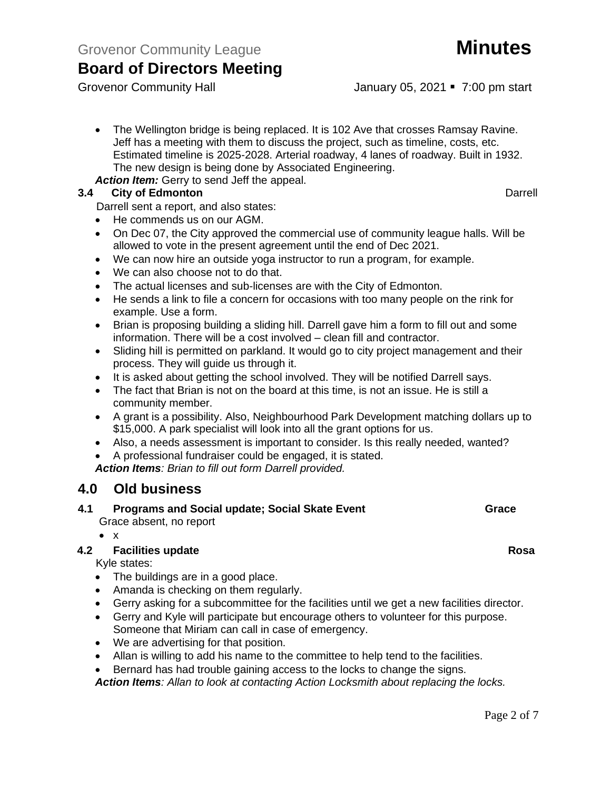Grovenor Community Hall January 05, 2021 • 7:00 pm start

- The Wellington bridge is being replaced. It is 102 Ave that crosses Ramsay Ravine. Jeff has a meeting with them to discuss the project, such as timeline, costs, etc. Estimated timeline is 2025-2028. Arterial roadway, 4 lanes of roadway. Built in 1932. The new design is being done by Associated Engineering.
- *Action Item:* Gerry to send Jeff the appeal.

## **3.4 City of Edmonton** Darrell **Darrell Darrell**

Darrell sent a report, and also states:

- He commends us on our AGM.
- On Dec 07, the City approved the commercial use of community league halls. Will be allowed to vote in the present agreement until the end of Dec 2021.
- We can now hire an outside yoga instructor to run a program, for example.
- We can also choose not to do that.
- The actual licenses and sub-licenses are with the City of Edmonton.
- He sends a link to file a concern for occasions with too many people on the rink for example. Use a form.
- Brian is proposing building a sliding hill. Darrell gave him a form to fill out and some information. There will be a cost involved – clean fill and contractor.
- Sliding hill is permitted on parkland. It would go to city project management and their process. They will guide us through it.
- It is asked about getting the school involved. They will be notified Darrell says.
- The fact that Brian is not on the board at this time, is not an issue. He is still a community member.
- A grant is a possibility. Also, Neighbourhood Park Development matching dollars up to \$15,000. A park specialist will look into all the grant options for us.
- Also, a needs assessment is important to consider. Is this really needed, wanted?
- A professional fundraiser could be engaged, it is stated.

*Action Items: Brian to fill out form Darrell provided.*

## **4.0 Old business**

- **4.1 Programs and Social update; Social Skate Event Grace** Grace absent, no report
	- x

## **4.2 Facilities update Rosa**

Kyle states:

- The buildings are in a good place.
- Amanda is checking on them regularly.
- Gerry asking for a subcommittee for the facilities until we get a new facilities director.
- Gerry and Kyle will participate but encourage others to volunteer for this purpose. Someone that Miriam can call in case of emergency.
- We are advertising for that position.
- Allan is willing to add his name to the committee to help tend to the facilities.
- Bernard has had trouble gaining access to the locks to change the signs.

*Action Items: Allan to look at contacting Action Locksmith about replacing the locks.* 

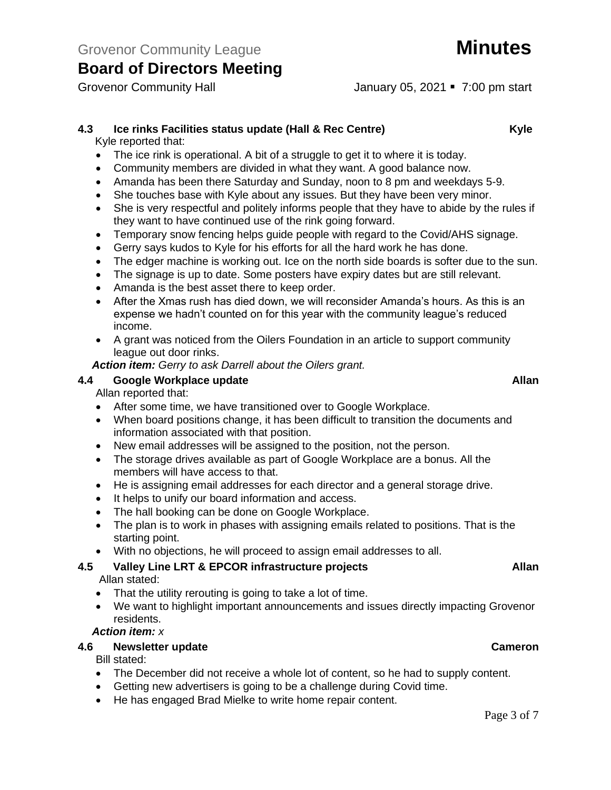## **4.3 Ice rinks Facilities status update (Hall & Rec Centre) Kyle**

Kyle reported that:

- The ice rink is operational. A bit of a struggle to get it to where it is today.
- Community members are divided in what they want. A good balance now.
- Amanda has been there Saturday and Sunday, noon to 8 pm and weekdays 5-9.
- She touches base with Kyle about any issues. But they have been very minor.
- She is very respectful and politely informs people that they have to abide by the rules if they want to have continued use of the rink going forward.
- Temporary snow fencing helps guide people with regard to the Covid/AHS signage.
- Gerry says kudos to Kyle for his efforts for all the hard work he has done.
- The edger machine is working out. Ice on the north side boards is softer due to the sun.
- The signage is up to date. Some posters have expiry dates but are still relevant.
- Amanda is the best asset there to keep order.
- After the Xmas rush has died down, we will reconsider Amanda's hours. As this is an expense we hadn't counted on for this year with the community league's reduced income.
- A grant was noticed from the Oilers Foundation in an article to support community league out door rinks.

*Action item: Gerry to ask Darrell about the Oilers grant.*

## **4.4 Google Workplace update Allan**

Allan reported that:

- After some time, we have transitioned over to Google Workplace.
- When board positions change, it has been difficult to transition the documents and information associated with that position.
- New email addresses will be assigned to the position, not the person.
- The storage drives available as part of Google Workplace are a bonus. All the members will have access to that.
- He is assigning email addresses for each director and a general storage drive.
- It helps to unify our board information and access.
- The hall booking can be done on Google Workplace.
- The plan is to work in phases with assigning emails related to positions. That is the starting point.
- With no objections, he will proceed to assign email addresses to all.

## **4.5 Valley Line LRT & EPCOR infrastructure projects Allan**

Allan stated:

- That the utility rerouting is going to take a lot of time.
- We want to highlight important announcements and issues directly impacting Grovenor residents.

*Action item: x*

## **4.6 Newsletter update Cameron**

Bill stated:

- The December did not receive a whole lot of content, so he had to supply content.
- Getting new advertisers is going to be a challenge during Covid time.
- He has engaged Brad Mielke to write home repair content.

### Page 3 of 7

Grovenor Community Hall January 05, 2021 • 7:00 pm start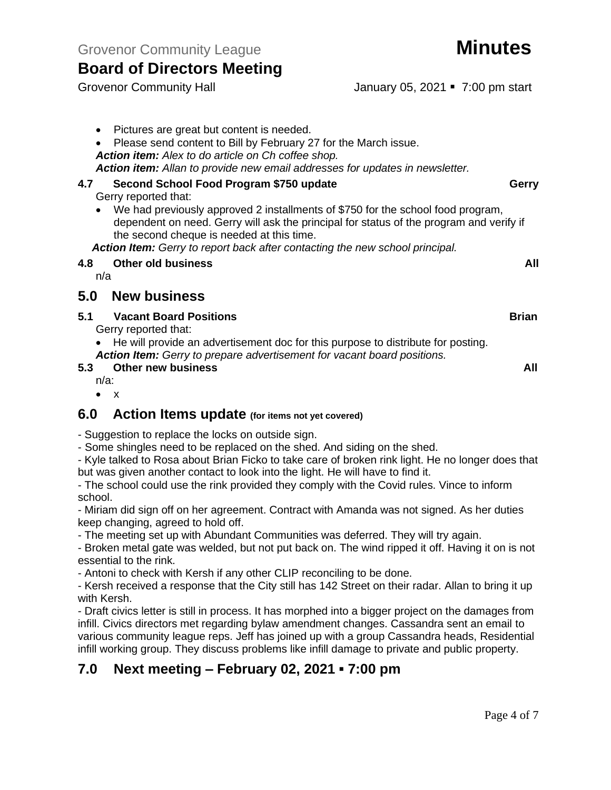Grovenor Community Hall January 05, 2021 • 7:00 pm start

• Pictures are great but content is needed. • Please send content to Bill by February 27 for the March issue. *Action item: Alex to do article on Ch coffee shop. Action item: Allan to provide new email addresses for updates in newsletter.* **4.7 Second School Food Program \$750 update Gerry** Gerry reported that: • We had previously approved 2 installments of \$750 for the school food program, dependent on need. Gerry will ask the principal for status of the program and verify if the second cheque is needed at this time. *Action Item: Gerry to report back after contacting the new school principal.* **4.8 Other old business All** n/a **5.0 New business 5.1 Vacant Board Positions Brian** Gerry reported that: • He will provide an advertisement doc for this purpose to distribute for posting. *Action Item: Gerry to prepare advertisement for vacant board positions.* **5.3 Other new business All** n/a:

• x

## **6.0 Action Items update (for items not yet covered)**

- Suggestion to replace the locks on outside sign.

- Some shingles need to be replaced on the shed. And siding on the shed.

- Kyle talked to Rosa about Brian Ficko to take care of broken rink light. He no longer does that but was given another contact to look into the light. He will have to find it.

- The school could use the rink provided they comply with the Covid rules. Vince to inform school.

- Miriam did sign off on her agreement. Contract with Amanda was not signed. As her duties keep changing, agreed to hold off.

- The meeting set up with Abundant Communities was deferred. They will try again.

- Broken metal gate was welded, but not put back on. The wind ripped it off. Having it on is not essential to the rink.

- Antoni to check with Kersh if any other CLIP reconciling to be done.

- Kersh received a response that the City still has 142 Street on their radar. Allan to bring it up with Kersh.

- Draft civics letter is still in process. It has morphed into a bigger project on the damages from infill. Civics directors met regarding bylaw amendment changes. Cassandra sent an email to various community league reps. Jeff has joined up with a group Cassandra heads, Residential infill working group. They discuss problems like infill damage to private and public property.

## **7.0 Next meeting – February 02, 2021 ▪ 7:00 pm**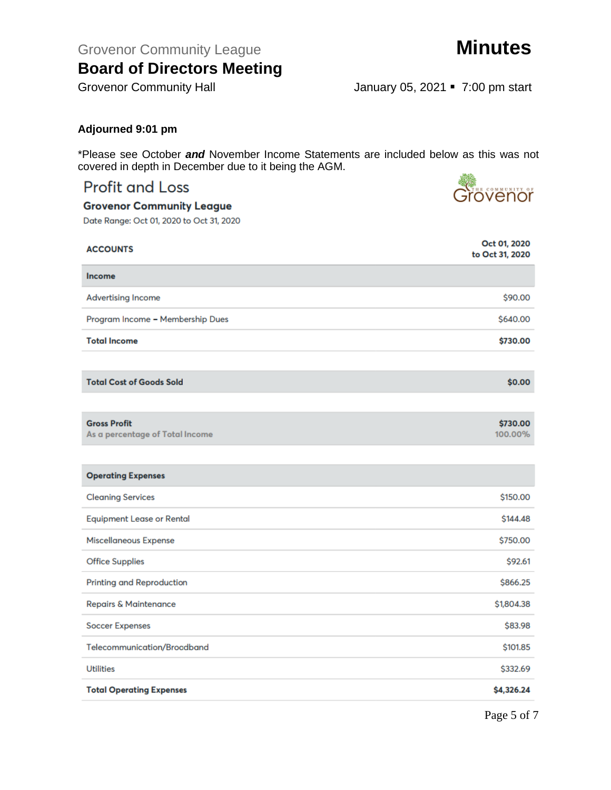Grovenor Community League **Minutes** 

# **Board of Directors Meeting**

Grovenor

Grovenor Community Hall January 05, 2021 • 7:00 pm start

## **Adjourned 9:01 pm**

\*Please see October *and* November Income Statements are included below as this was not covered in depth in December due to it being the AGM.

## **Profit and Loss**

**Grovenor Community League** 

| <b>ACCOUNTS</b>                                        | Oct 01, 2020<br>to Oct 31, 2020 |
|--------------------------------------------------------|---------------------------------|
| <b>Income</b>                                          |                                 |
| <b>Advertising Income</b>                              | \$90.00                         |
| Program Income - Membership Dues                       | \$640.00                        |
| <b>Total Income</b>                                    | \$730.00                        |
|                                                        |                                 |
| <b>Total Cost of Goods Sold</b>                        | \$0.00                          |
|                                                        |                                 |
| <b>Gross Profit</b><br>As a percentage of Total Income | \$730.00<br>100.00%             |
|                                                        |                                 |
| <b>Operating Expenses</b>                              |                                 |
| <b>Cleaning Services</b>                               | \$150.00                        |
| <b>Equipment Lease or Rental</b>                       | \$144.48                        |
| Miscellaneous Expense                                  | \$750.00                        |
| <b>Office Supplies</b>                                 | \$92.61                         |
| <b>Printing and Reproduction</b>                       | \$866.25                        |
| Repairs & Maintenance                                  | \$1,804.38                      |
| <b>Soccer Expenses</b>                                 | \$83.98                         |
| Telecommunication/Broadband                            | \$101.85                        |
| <b>Utilities</b>                                       | \$332.69                        |
| <b>Total Operating Expenses</b>                        | \$4,326.24                      |
|                                                        |                                 |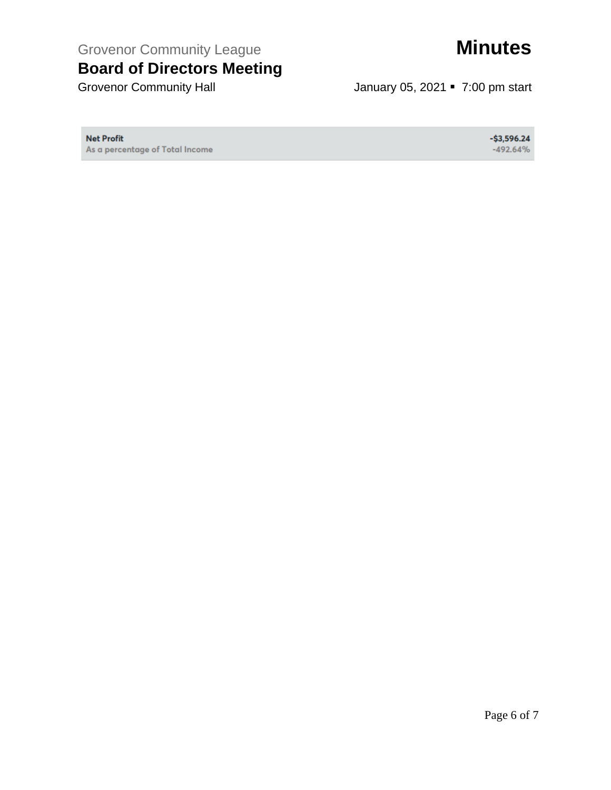Grovenor Community League **Minutes** 

# **Board of Directors Meeting**

Grovenor Community Hall **Grovenor Community Hall** January 05, 2021 **•** 7:00 pm start

**Net Profit** 

As a percentage of Total Income

 $-$ \$3,596.24  $-492.64%$